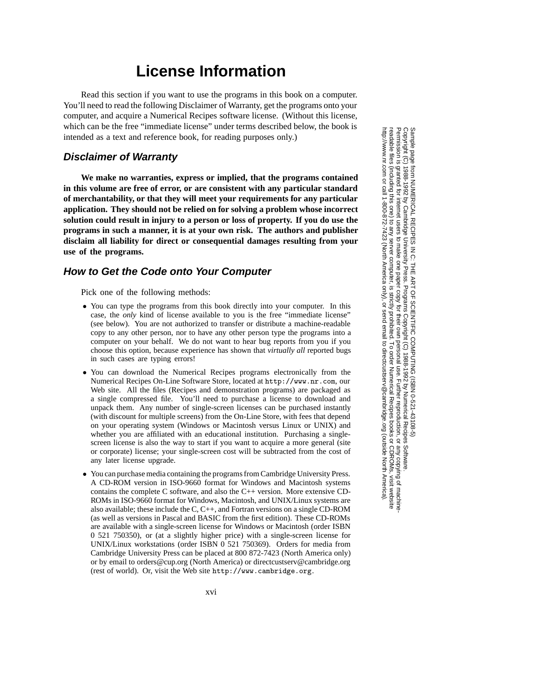# **License Information**

Read this section if you want to use the programs in this book on a computer. You'll need to read the following Disclaimer of Warranty, get the programs onto your computer, and acquire a Numerical Recipes software license. (Without this license, which can be the free "immediate license" under terms described below, the book is intended as a text and reference book, for reading purposes only.)

## **Disclaimer of Warranty**

**We make no warranties, express or implied, that the programs contained in this volume are free of error, or are consistent with any particular standard of merchantability, or that they will meet your requirements for any particular application. They should not be relied on for solving a problem whose incorrect solution could result in injury to a person or loss of property. If you do use the programs in such a manner, it is at your own risk. The authors and publisher disclaim all liability for direct or consequential damages resulting from your use of the programs.**

## **How to Get the Code onto Your Computer**

Pick one of the following methods:

- *•* You can type the programs from this book directly into your computer. In this case, the *only* kind of license available to you is the free "immediate license" (see below). You are not authorized to transfer or distribute a machine-readable copy to any other person, nor to have any other person type the programs into a computer on your behalf. We do not want to hear bug reports from you if you choose this option, because experience has shown that *virtually all* reported bugs in such cases are typing errors!
- *•* You can download the Numerical Recipes programs electronically from the Numerical Recipes On-Line Software Store, located at http://www.nr.com, our Web site. All the files (Recipes and demonstration programs) are packaged as a single compressed file. You'll need to purchase a license to download and unpack them. Any number of single-screen licenses can be purchased instantly (with discount for multiple screens) from the On-Line Store, with fees that depend on your operating system (Windows or Macintosh versus Linux or UNIX) and whether you are affiliated with an educational institution. Purchasing a singlescreen license is also the way to start if you want to acquire a more general (site or corporate) license; your single-screen cost will be subtracted from the cost of any later license upgrade.
- *•* You can purchase media containing the programs from Cambridge University Press. A CD-ROM version in ISO-9660 format for Windows and Macintosh systems contains the complete C software, and also the C++ version. More extensive CD-ROMs in ISO-9660 format for Windows, Macintosh, and UNIX/Linux systems are also available; these include the C, C++, and Fortran versions on a single CD-ROM (as well as versions in Pascal and BASIC from the first edition). These CD-ROMs are available with a single-screen license for Windows or Macintosh (order ISBN 0 521 750350), or (at a slightly higher price) with a single-screen license for UNIX/Linux workstations (order ISBN 0 521 750369). Orders for media from Cambridge University Press can be placed at 800 872-7423 (North America only) or by email to orders@cup.org (North America) or directcustserv@cambridge.org (rest of world). Or, visit the Web site http://www.cambridge.org.

Permission is granted for internet users to make one paper copy for their own personal use. Further reproduction, or any copyin Copyright (C) 1988-1992 by Cambridge University Press.Programs Copyright (C) 1988-1992 by Numerical Recipes Software. Sample page from NUMERICAL RECIPES IN C: THE ART OF SCIENTIFIC COMPUTING (ISBN 0-521-43108-5) g of machinereadable files (including this one) to any servercomputer, is strictly prohibited. To order Numerical Recipes booksor CDROMs, visit website http://www.nr.com or call 1-800-872-7423 (North America only),or send email to directcustserv@cambridge.org (outside North America).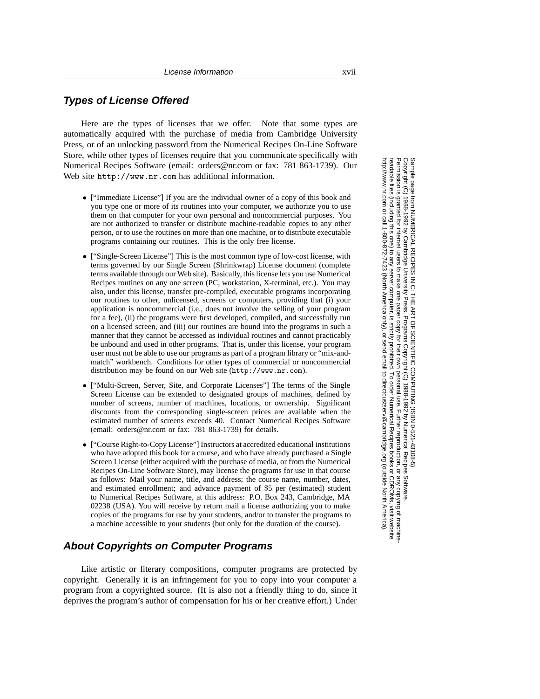#### **Types of License Offered**

Here are the types of licenses that we offer. Note that some types are automatically acquired with the purchase of media from Cambridge University Press, or of an unlocking password from the Numerical Recipes On-Line Software Store, while other types of licenses require that you communicate specifically with Numerical Recipes Software (email: orders@nr.com or fax: 781 863-1739). Our Web site http://www.nr.com has additional information.

- *•* ["Immediate License"] If you are the individual owner of a copy of this book and you type one or more of its routines into your computer, we authorize you to use them on that computer for your own personal and noncommercial purposes. You are not authorized to transfer or distribute machine-readable copies to any other person, or to use the routines on more than one machine, or to distribute executable programs containing our routines. This is the only free license.
- *•* ["Single-Screen License"] This is the most common type of low-cost license, with terms governed by our Single Screen (Shrinkwrap) License document (complete terms available through our Web site). Basically, this license lets you use Numerical Recipes routines on any one screen (PC, workstation, X-terminal, etc.). You may also, under this license, transfer pre-compiled, executable programs incorporating our routines to other, unlicensed, screens or computers, providing that (i) your application is noncommercial (i.e., does not involve the selling of your program for a fee), (ii) the programs were first developed, compiled, and successfully run on a licensed screen, and (iii) our routines are bound into the programs in such a manner that they cannot be accessed as individual routines and cannot practicably be unbound and used in other programs. That is, under this license, your program user must not be able to use our programs as part of a program library or "mix-andmatch" workbench. Conditions for other types of commercial or noncommercial distribution may be found on our Web site (http://www.nr.com).
- ["Multi-Screen, Server, Site, and Corporate Licenses"] The terms of the Single Screen License can be extended to designated groups of machines, defined by number of screens, number of machines, locations, or ownership. Significant discounts from the corresponding single-screen prices are available when the estimated number of screens exceeds 40. Contact Numerical Recipes Software (email: orders@nr.com or fax: 781 863-1739) for details.
- ["Course Right-to-Copy License"] Instructors at accredited educational institutions who have adopted this book for a course, and who have already purchased a Single Screen License (either acquired with the purchase of media, or from the Numerical Recipes On-Line Software Store), may license the programs for use in that course as follows: Mail your name, title, and address; the course name, number, dates, and estimated enrollment; and advance payment of \$5 per (estimated) student to Numerical Recipes Software, at this address: P.O. Box 243, Cambridge, MA 02238 (USA). You will receive by return mail a license authorizing you to make copies of the programs for use by your students, and/or to transfer the programs to a machine accessible to your students (but only for the duration of the course).

### **About Copyrights on Computer Programs**

Like artistic or literary compositions, computer programs are protected by copyright. Generally it is an infringement for you to copy into your computer a program from a copyrighted source. (It is also not a friendly thing to do, since it deprives the program's author of compensation for his or her creative effort.) Under

Permission is granted for internet users to make one paper copy for their own personal use. Further reproduction, or any copyin Copyright (C) 1988-1992 by Cambridge University Press.Programs Copyright (C) 1988-1992 by Numerical Recipes Software. Sample page from NUMERICAL RECIPES IN C: THE ART OF SCIENTIFIC COMPUTING (ISBN 0-521-43108-5) g of machinereadable files (including this one) to any servercomputer, is strictly prohibited. To order Numerical Recipes booksor CDROMs, visit website http://www.nr.com or call 1-800-872-7423 (North America only),or send email to directcustserv@cambridge.org (outside North America).